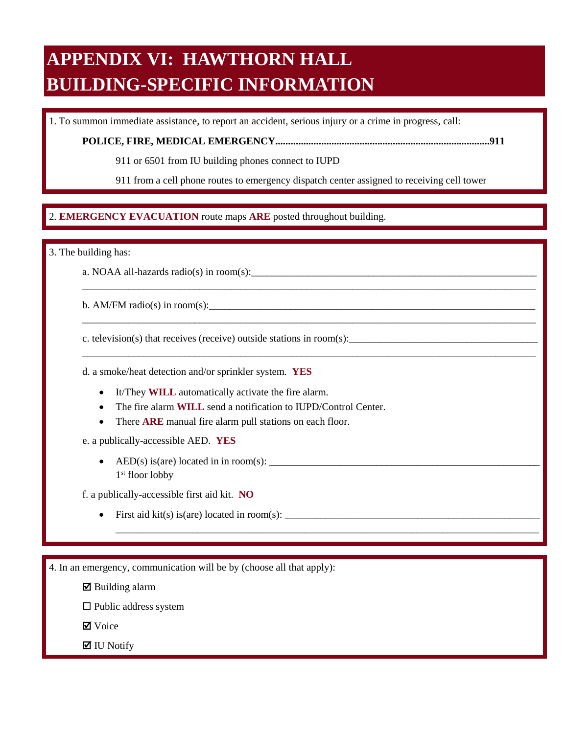# **APPENDIX VI: HAWTHORN HALL BUILDING-SPECIFIC INFORMATION**

1. To summon immediate assistance, to report an accident, serious injury or a crime in progress, call:

**POLICE, FIRE, MEDICAL EMERGENCY....................................................................................911** 

911 or 6501 from IU building phones connect to IUPD

911 from a cell phone routes to emergency dispatch center assigned to receiving cell tower

\_\_\_\_\_\_\_\_\_\_\_\_\_\_\_\_\_\_\_\_\_\_\_\_\_\_\_\_\_\_\_\_\_\_\_\_\_\_\_\_\_\_\_\_\_\_\_\_\_\_\_\_\_\_\_\_\_\_\_\_\_\_\_\_\_\_\_\_\_\_\_\_\_\_\_\_\_\_\_\_\_\_\_\_\_\_\_\_\_

\_\_\_\_\_\_\_\_\_\_\_\_\_\_\_\_\_\_\_\_\_\_\_\_\_\_\_\_\_\_\_\_\_\_\_\_\_\_\_\_\_\_\_\_\_\_\_\_\_\_\_\_\_\_\_\_\_\_\_\_\_\_\_\_\_\_\_\_\_\_\_\_\_\_\_\_\_\_\_\_\_\_\_\_\_\_\_\_\_

\_\_\_\_\_\_\_\_\_\_\_\_\_\_\_\_\_\_\_\_\_\_\_\_\_\_\_\_\_\_\_\_\_\_\_\_\_\_\_\_\_\_\_\_\_\_\_\_\_\_\_\_\_\_\_\_\_\_\_\_\_\_\_\_\_\_\_\_\_\_\_\_\_\_\_\_\_\_\_\_\_\_\_\_\_\_\_\_\_

\_\_\_\_\_\_\_\_\_\_\_\_\_\_\_\_\_\_\_\_\_\_\_\_\_\_\_\_\_\_\_\_\_\_\_\_\_\_\_\_\_\_\_\_\_\_\_\_\_\_\_\_\_\_\_\_\_\_\_\_\_\_\_\_\_\_\_\_\_\_\_\_\_\_\_\_\_\_\_\_\_\_\_

### $\overline{a}$ 2. EMERGENCY EVACUATION route maps ARE posted throughout building. 2. **EMERGENCY EVACUATION** route maps **ARE** posted throughout building.

3. The building has:

a. NOAA all-hazards radio(s) in room(s):

b. AM/FM radio(s) in room(s):

c. television(s) that receives (receive) outside stations in room(s):

d. a smoke/heat detection and/or sprinkler system. **YES** 

- It/They **WILL** automatically activate the fire alarm.
- The fire alarm **WILL** send a notification to IUPD/Control Center.
- There **ARE** manual fire alarm pull stations on each floor.

e. a publically-accessible AED. **YES** 

• AED(s) is(are) located in in room(s):  $\frac{1}{\sqrt{1-\frac{1}{2}}}\left\{ \frac{1}{2}, \frac{1}{2}, \frac{1}{2}, \frac{1}{2}, \frac{1}{2}, \frac{1}{2}, \frac{1}{2}, \frac{1}{2}, \frac{1}{2}, \frac{1}{2}, \frac{1}{2}, \frac{1}{2}, \frac{1}{2}, \frac{1}{2}, \frac{1}{2}, \frac{1}{2}, \frac{1}{2}, \frac{1}{2}, \frac{1}{2}, \frac{1}{2}, \frac{1}{2}, \frac{1}{2}, \frac{1}{2$ 1st floor lobby

f. a publically-accessible first aid kit. **NO** 

• First aid kit(s) is(are) located in room(s):  $\_\_\_\_\_\_\_\_\_$ 

4. In an emergency, communication will be by (choose all that apply):

 $\boxtimes$  Building alarm

 $\square$  Public address system

**Ø** Voice

 $\blacksquare$  IU Notify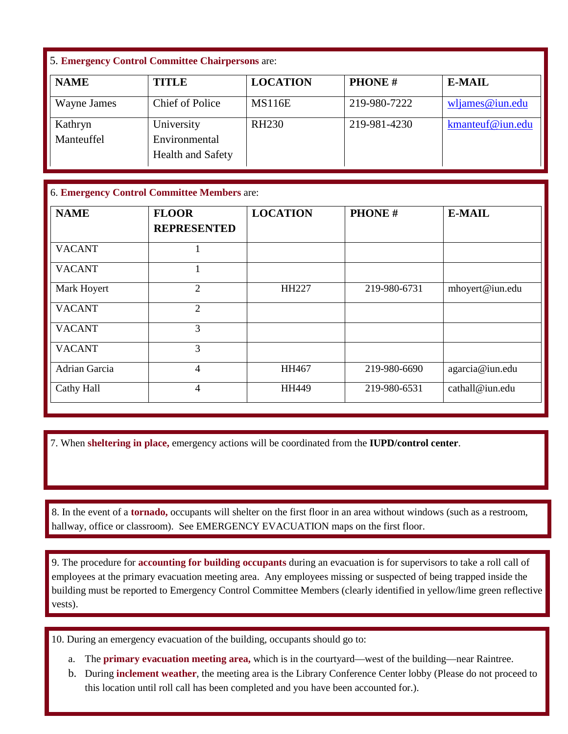## 5. **Emergency Control Committee Chairpersons** are:

| <b>NAME</b> | <b>TITLE</b>                              | <b>LOCATION</b> | <b>PHONE#</b> | <b>E-MAIL</b>      |
|-------------|-------------------------------------------|-----------------|---------------|--------------------|
| Wayne James | <b>Chief of Police</b>                    | <b>MS116E</b>   | 219-980-7222  | $w$ ljames@iun.edu |
| Kathryn     | University                                | <b>RH230</b>    | 219-981-4230  | kmanteuf@iun.edu   |
| Manteuffel  | Environmental<br><b>Health and Safety</b> |                 |               |                    |

### 6. **Emergency Control Committee Members** are:

| <b>NAME</b>   | <b>FLOOR</b><br><b>REPRESENTED</b> | <b>LOCATION</b> | <b>PHONE#</b> | <b>E-MAIL</b>   |
|---------------|------------------------------------|-----------------|---------------|-----------------|
| <b>VACANT</b> |                                    |                 |               |                 |
| <b>VACANT</b> |                                    |                 |               |                 |
| Mark Hoyert   | $\overline{2}$                     | HH227           | 219-980-6731  | mhoyert@iun.edu |
| <b>VACANT</b> | $\overline{2}$                     |                 |               |                 |
| <b>VACANT</b> | 3                                  |                 |               |                 |
| <b>VACANT</b> | 3                                  |                 |               |                 |
| Adrian Garcia | 4                                  | HH467           | 219-980-6690  | agarcia@iun.edu |
| Cathy Hall    | 4                                  | HH449           | 219-980-6531  | cathall@iun.edu |

7. When **sheltering in place,** emergency actions will be coordinated from the **IUPD/control center**.

 $\ddot{\phantom{0}}$  hallway, office or classroom). See EMERGENCY EVACUATION maps on the first floor. 8. In the event of a **tornado**, occupants will shelter on the first floor in an area without windows (such as a restroom, hallway, office or classroom). See EMERGENCY EVACUATION maps on the first floor. 8. In the event of a **tornado,** occupants will shelter on the first floor in an area without windows (such as a restroom,

 9. The procedure for **accounting for building occupants** during an evacuation is for supervisors to take a roll call of employees at the primary evacuation meeting area. Any employees missing or suspected of being trapped inside the building must be reported to Emergency Control Committee Members (clearly identified in yellow/lime green reflective vests).

10. During an emergency evacuation of the building, occupants should go to:

- a. The **primary evacuation meeting area,** which is in the courtyard—west of the building—near Raintree.
- b. During **inclement weather**, the meeting area is the Library Conference Center lobby (Please do not proceed to this location until roll call has been completed and you have been accounted for.).